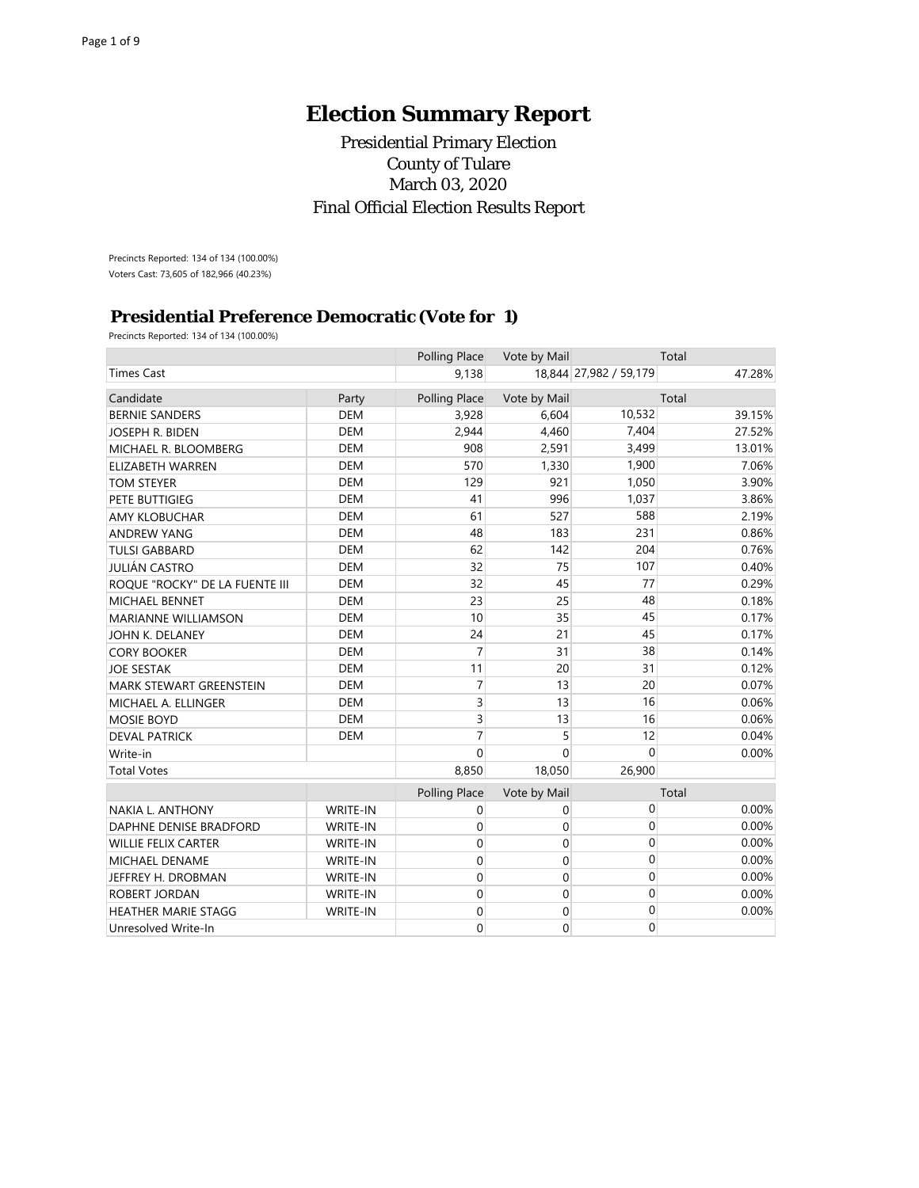# **Election Summary Report**

## Presidential Primary Election County of Tulare March 03, 2020 Final Official Election Results Report

Precincts Reported: 134 of 134 (100.00%) Voters Cast: 73,605 of 182,966 (40.23%)

## **Presidential Preference Democratic (Vote for 1)**

Precincts Reported: 134 of 134 (100.00%)

|                                |                 | Polling Place  | Vote by Mail   |                        | Total  |
|--------------------------------|-----------------|----------------|----------------|------------------------|--------|
| <b>Times Cast</b>              |                 | 9,138          |                | 18.844 27,982 / 59,179 | 47.28% |
| Candidate                      | Party           | Polling Place  | Vote by Mail   |                        | Total  |
| <b>BERNIE SANDERS</b>          | <b>DEM</b>      | 3,928          | 6,604          | 10,532                 | 39.15% |
| JOSEPH R. BIDEN                | <b>DEM</b>      | 2,944          | 4,460          | 7,404                  | 27.52% |
| MICHAEL R. BLOOMBERG           | <b>DEM</b>      | 908            | 2,591          | 3,499                  | 13.01% |
| <b>ELIZABETH WARREN</b>        | <b>DEM</b>      | 570            | 1,330          | 1,900                  | 7.06%  |
| <b>TOM STEYER</b>              | <b>DEM</b>      | 129            | 921            | 1,050                  | 3.90%  |
| <b>PETE BUTTIGIEG</b>          | <b>DEM</b>      | 41             | 996            | 1,037                  | 3.86%  |
| <b>AMY KLOBUCHAR</b>           | <b>DEM</b>      | 61             | 527            | 588                    | 2.19%  |
| <b>ANDREW YANG</b>             | <b>DEM</b>      | 48             | 183            | 231                    | 0.86%  |
| <b>TULSI GABBARD</b>           | <b>DEM</b>      | 62             | 142            | 204                    | 0.76%  |
| <b>JULIÁN CASTRO</b>           | <b>DEM</b>      | 32             | 75             | 107                    | 0.40%  |
| ROQUE "ROCKY" DE LA FUENTE III | <b>DEM</b>      | 32             | 45             | 77                     | 0.29%  |
| <b>MICHAEL BENNET</b>          | <b>DEM</b>      | 23             | 25             | 48                     | 0.18%  |
| <b>MARIANNE WILLIAMSON</b>     | <b>DEM</b>      | 10             | 35             | 45                     | 0.17%  |
| JOHN K. DELANEY                | <b>DEM</b>      | 24             | 21             | 45                     | 0.17%  |
| <b>CORY BOOKER</b>             | <b>DEM</b>      | $\overline{7}$ | 31             | 38                     | 0.14%  |
| <b>JOE SESTAK</b>              | <b>DEM</b>      | 11             | 20             | 31                     | 0.12%  |
| <b>MARK STEWART GREENSTEIN</b> | <b>DEM</b>      | $\overline{7}$ | 13             | 20                     | 0.07%  |
| MICHAEL A. ELLINGER            | <b>DEM</b>      | 3              | 13             | 16                     | 0.06%  |
| <b>MOSIE BOYD</b>              | <b>DEM</b>      | 3              | 13             | 16                     | 0.06%  |
| <b>DEVAL PATRICK</b>           | <b>DEM</b>      | $\overline{7}$ | 5              | 12                     | 0.04%  |
| Write-in                       |                 | $\Omega$       | $\overline{0}$ | $\mathbf{0}$           | 0.00%  |
| <b>Total Votes</b>             |                 | 8,850          | 18,050         | 26,900                 |        |
|                                |                 | Polling Place  | Vote by Mail   |                        | Total  |
| <b>NAKIA L. ANTHONY</b>        | <b>WRITE-IN</b> | 0              | 0              | $\mathbf 0$            | 0.00%  |
| DAPHNE DENISE BRADFORD         | WRITE-IN        | 0              | 0              | $\mathbf 0$            | 0.00%  |
| <b>WILLIE FELIX CARTER</b>     | WRITE-IN        | 0              | 0              | $\mathbf 0$            | 0.00%  |
| <b>MICHAEL DENAME</b>          | WRITE-IN        | 0              | 0              | $\mathbf 0$            | 0.00%  |
| JEFFREY H. DROBMAN             | WRITE-IN        | 0              | 0              | $\mathbf 0$            | 0.00%  |
| ROBERT JORDAN                  | WRITE-IN        | 0              | 0              | 0                      | 0.00%  |
| <b>HEATHER MARIE STAGG</b>     | WRITE-IN        | 0              | 0              | 0                      | 0.00%  |
| Unresolved Write-In            |                 | 0              | 0              | $\mathbf 0$            |        |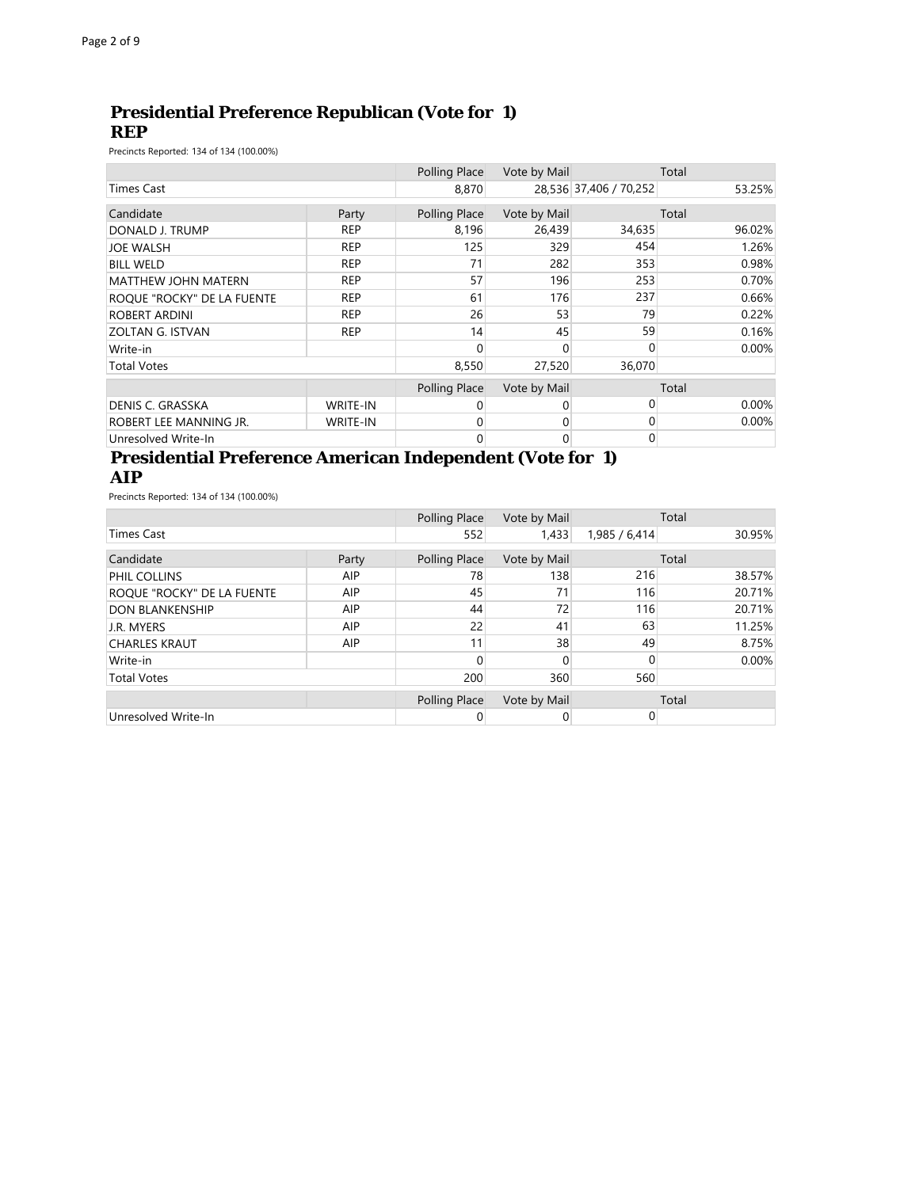## **Presidential Preference Republican (Vote for 1) REP**

Precincts Reported: 134 of 134 (100.00%)

|                            |                 | Polling Place | Vote by Mail |                        | Total    |
|----------------------------|-----------------|---------------|--------------|------------------------|----------|
| <b>Times Cast</b>          |                 | 8,870         |              | 28,536 37,406 / 70,252 | 53.25%   |
| Candidate                  | Party           | Polling Place | Vote by Mail |                        | Total    |
| DONALD J. TRUMP            | <b>REP</b>      | 8,196         | 26,439       | 34,635                 | 96.02%   |
| <b>JOE WALSH</b>           | <b>REP</b>      | 125           | 329          | 454                    | 1.26%    |
| <b>BILL WELD</b>           | <b>REP</b>      | 71            | 282          | 353                    | 0.98%    |
| <b>MATTHEW JOHN MATERN</b> | <b>REP</b>      | 57            | 196          | 253                    | 0.70%    |
| ROOUE "ROCKY" DE LA FUENTE | <b>REP</b>      | 61            | 176          | 237                    | 0.66%    |
| <b>ROBERT ARDINI</b>       | <b>REP</b>      | 26            | 53           | 79                     | 0.22%    |
| <b>ZOLTAN G. ISTVAN</b>    | <b>REP</b>      | 14            | 45           | 59                     | 0.16%    |
| Write-in                   |                 | 0             | 0            | $\Omega$               | $0.00\%$ |
| <b>Total Votes</b>         |                 | 8,550         | 27,520       | 36,070                 |          |
|                            |                 | Polling Place | Vote by Mail |                        | Total    |
| <b>DENIS C. GRASSKA</b>    | <b>WRITE-IN</b> | 0             | 0            | 0                      | $0.00\%$ |
| ROBERT LEE MANNING JR.     | <b>WRITE-IN</b> | 0             | 0            | 0                      | 0.00%    |
| Unresolved Write-In        |                 | 0             | 0            | $\Omega$               |          |

#### **Presidential Preference American Independent (Vote for 1) AIP**

Precincts Reported: 134 of 134 (100.00%)

|                            |            | Polling Place | Vote by Mail |               | Total  |
|----------------------------|------------|---------------|--------------|---------------|--------|
| Times Cast                 |            | 552           | 1,433        | 1,985 / 6,414 | 30.95% |
| Candidate                  | Party      | Polling Place | Vote by Mail |               | Total  |
| PHIL COLLINS               | <b>AIP</b> | 78            | 138          | 216           | 38.57% |
| ROQUE "ROCKY" DE LA FUENTE | AIP        | 45            | 71           | 116           | 20.71% |
| <b>DON BLANKENSHIP</b>     | AIP        | 44            | 72           | 116           | 20.71% |
| J.R. MYERS                 | AIP        | 22            | 41           | 63            | 11.25% |
| <b>CHARLES KRAUT</b>       | <b>AIP</b> | 11            | 38           | 49            | 8.75%  |
| Write-in                   |            |               |              |               | 0.00%  |
| <b>Total Votes</b>         |            | 200           | 360          | 560           |        |
|                            |            | Polling Place | Vote by Mail |               | Total  |
| Unresolved Write-In        |            |               |              | 0             |        |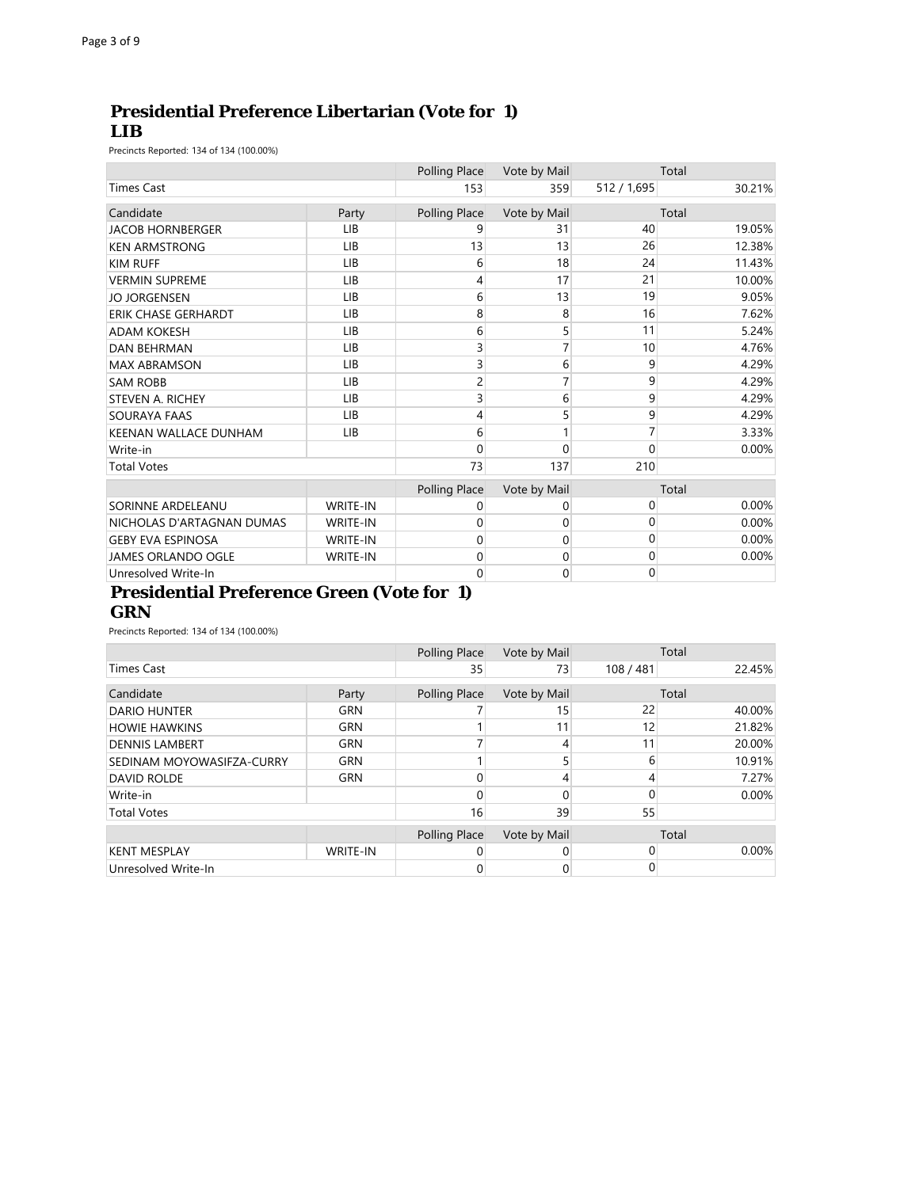## **Presidential Preference Libertarian (Vote for 1) LIB**

Precincts Reported: 134 of 134 (100.00%)

|                            |                 | Polling Place | Vote by Mail |             | Total  |
|----------------------------|-----------------|---------------|--------------|-------------|--------|
| Times Cast                 |                 | 153           | 359          | 512 / 1,695 | 30.21% |
| Candidate                  | Party           | Polling Place | Vote by Mail |             | Total  |
| <b>JACOB HORNBERGER</b>    | <b>LIB</b>      | 9             | 31           | 40          | 19.05% |
| <b>KEN ARMSTRONG</b>       | <b>LIB</b>      | 13            | 13           | 26          | 12.38% |
| <b>KIM RUFF</b>            | <b>LIB</b>      | 6             | 18           | 24          | 11.43% |
| <b>VERMIN SUPREME</b>      | <b>LIB</b>      | 4             | 17           | 21          | 10.00% |
| <b>JO JORGENSEN</b>        | <b>LIB</b>      | 6             | 13           | 19          | 9.05%  |
| <b>ERIK CHASE GERHARDT</b> | <b>LIB</b>      | 8             | 8            | 16          | 7.62%  |
| <b>ADAM KOKESH</b>         | <b>LIB</b>      | 6             | 5            | 11          | 5.24%  |
| <b>DAN BEHRMAN</b>         | <b>LIB</b>      | 3             |              | 10          | 4.76%  |
| <b>MAX ABRAMSON</b>        | <b>LIB</b>      | 3             | 6            | 9           | 4.29%  |
| <b>SAM ROBB</b>            | <b>LIB</b>      | 2             |              | 9           | 4.29%  |
| <b>STEVEN A. RICHEY</b>    | <b>LIB</b>      | 3             | 6            | 9           | 4.29%  |
| <b>SOURAYA FAAS</b>        | <b>LIB</b>      | 4             | 5            | 9           | 4.29%  |
| KEENAN WALLACE DUNHAM      | <b>LIB</b>      | 6             |              |             | 3.33%  |
| Write-in                   |                 | $\Omega$      | 0            | $\Omega$    | 0.00%  |
| <b>Total Votes</b>         |                 | 73            | 137          | 210         |        |
|                            |                 | Polling Place | Vote by Mail |             | Total  |
| SORINNE ARDELEANU          | <b>WRITE-IN</b> | 0             | 0            | 0           | 0.00%  |
| NICHOLAS D'ARTAGNAN DUMAS  | <b>WRITE-IN</b> | $\Omega$      | 0            | $\Omega$    | 0.00%  |
| <b>GEBY EVA ESPINOSA</b>   | <b>WRITE-IN</b> | 0             | 0            | $\Omega$    | 0.00%  |
| <b>JAMES ORLANDO OGLE</b>  | <b>WRITE-IN</b> | $\Omega$      | 0            | $\Omega$    | 0.00%  |
| Unresolved Write-In        |                 | 0             | 0            | $\Omega$    |        |

#### **Presidential Preference Green (Vote for 1) GRN**

Precincts Reported: 134 of 134 (100.00%)

|                           |                 | Polling Place | Vote by Mail |              | Total    |
|---------------------------|-----------------|---------------|--------------|--------------|----------|
| <b>Times Cast</b>         |                 | 35            | 73           | 108 / 481    | 22.45%   |
| Candidate                 | Party           | Polling Place | Vote by Mail |              | Total    |
| <b>DARIO HUNTER</b>       | <b>GRN</b>      |               | 15           | 22           | 40.00%   |
| <b>HOWIE HAWKINS</b>      | <b>GRN</b>      |               | 11           | 12           | 21.82%   |
| <b>DENNIS LAMBERT</b>     | <b>GRN</b>      |               |              | 11           | 20.00%   |
| SEDINAM MOYOWASIFZA-CURRY | <b>GRN</b>      |               |              | 6            | 10.91%   |
| <b>DAVID ROLDE</b>        | <b>GRN</b>      |               |              |              | 7.27%    |
| Write-in                  |                 |               |              | $\Omega$     | 0.00%    |
| <b>Total Votes</b>        |                 | 16            | 39           | 55           |          |
|                           |                 | Polling Place | Vote by Mail |              | Total    |
| <b>KENT MESPLAY</b>       | <b>WRITE-IN</b> |               |              | <sup>0</sup> | $0.00\%$ |
| Unresolved Write-In       |                 |               |              |              |          |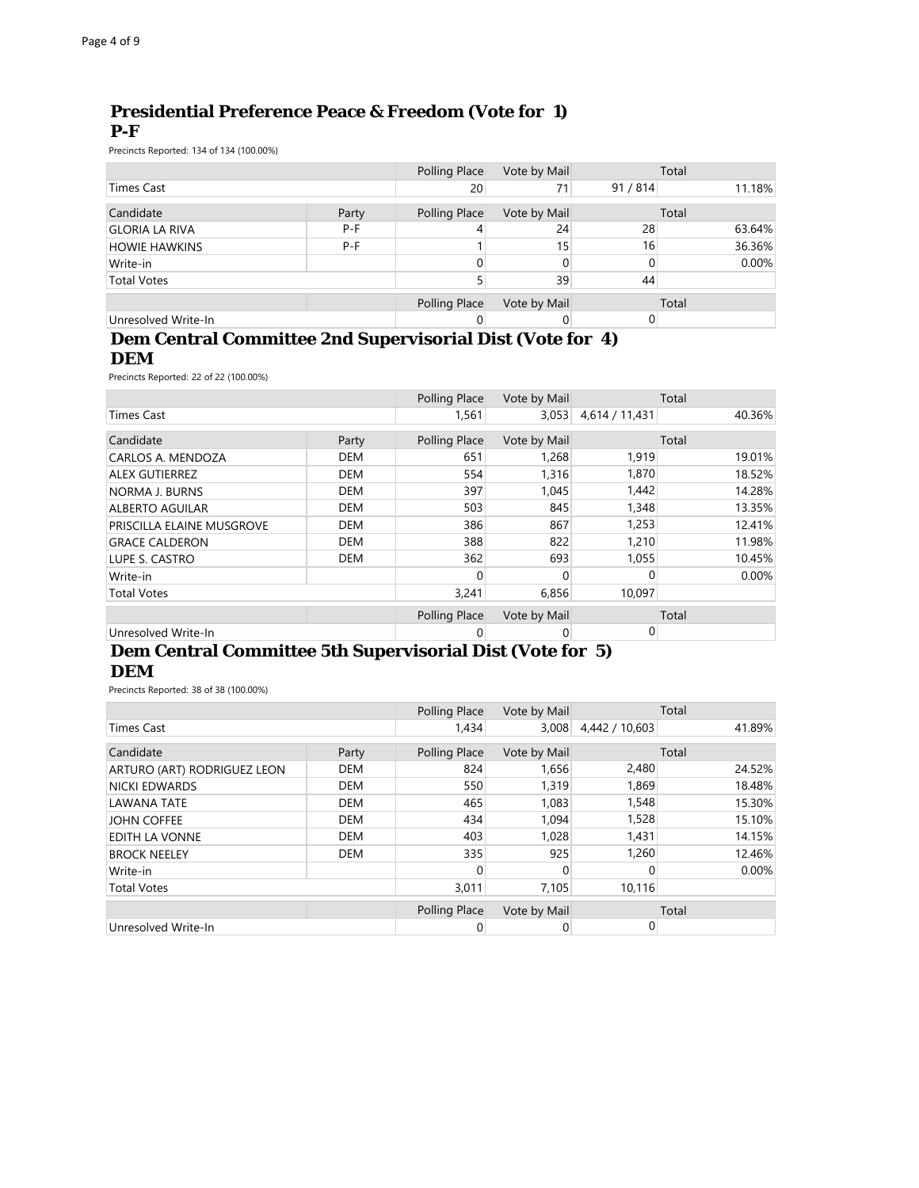## **Presidential Preference Peace & Freedom (Vote for 1) P-F**

Precincts Reported: 134 of 134 (100.00%)

|                       |       | Polling Place   | Vote by Mail |        | Total    |
|-----------------------|-------|-----------------|--------------|--------|----------|
| ⊺imes Cast            |       | 20 <sup>°</sup> | 71           | 91/814 | 11.18%   |
| Candidate             | Party | Polling Place   | Vote by Mail |        | Total    |
| <b>GLORIA LA RIVA</b> | $P-F$ |                 | 24           | 28     | 63.64%   |
| <b>HOWIE HAWKINS</b>  | $P-F$ |                 | 15           | 16     | 36.36%   |
| Write-in              |       | 0               |              |        | $0.00\%$ |
| <b>Total Votes</b>    |       |                 | 39           | 44     |          |
|                       |       | Polling Place   | Vote by Mail |        | Total    |
| Unresolved Write-In   |       |                 |              |        |          |

#### **Dem Central Committee 2nd Supervisorial Dist (Vote for 4) DEM**

Precincts Reported: 22 of 22 (100.00%)

|                                  |            | Polling Place | Vote by Mail |                | Total  |
|----------------------------------|------------|---------------|--------------|----------------|--------|
| Times Cast                       |            | 1,561         | 3,053        | 4,614 / 11,431 | 40.36% |
| Candidate                        | Party      | Polling Place | Vote by Mail |                | Total  |
| CARLOS A. MENDOZA                | <b>DEM</b> | 651           | 1,268        | 1,919          | 19.01% |
| <b>ALEX GUTIERREZ</b>            | <b>DEM</b> | 554           | 1,316        | 1,870          | 18.52% |
| <b>NORMA J. BURNS</b>            | <b>DEM</b> | 397           | 1,045        | 1,442          | 14.28% |
| <b>ALBERTO AGUILAR</b>           | <b>DEM</b> | 503           | 845          | 1,348          | 13.35% |
| <b>PRISCILLA ELAINE MUSGROVE</b> | <b>DEM</b> | 386           | 867          | 1,253          | 12.41% |
| <b>GRACE CALDERON</b>            | <b>DEM</b> | 388           | 822          | 1,210          | 11.98% |
| LUPE S. CASTRO                   | <b>DEM</b> | 362           | 693          | 1,055          | 10.45% |
| Write-in                         |            | 0             | 0            | $\Omega$       | 0.00%  |
| <b>Total Votes</b>               |            | 3,241         | 6,856        | 10.097         |        |
|                                  |            | Polling Place | Vote by Mail |                | Total  |
| Unresolved Write-In              |            | 0             | 0            | 0              |        |

#### **Dem Central Committee 5th Supervisorial Dist (Vote for 5) DEM**

Precincts Reported: 38 of 38 (100.00%)

|                             |                          | Polling Place | Vote by Mail |                | Total    |
|-----------------------------|--------------------------|---------------|--------------|----------------|----------|
| <b>Times Cast</b>           |                          | 1.434         | 3,008        | 4,442 / 10,603 | 41.89%   |
| Candidate                   | Party                    | Polling Place | Vote by Mail |                | Total    |
| ARTURO (ART) RODRIGUEZ LEON | DEM                      | 824           | 1,656        | 2,480          | 24.52%   |
| <b>NICKI EDWARDS</b>        | <b>DEM</b>               | 550           | 1,319        | 1.869          | 18.48%   |
| <b>LAWANA TATE</b>          | <b>DEM</b>               | 465           | 1,083        | 1,548          | 15.30%   |
| <b>JOHN COFFEE</b>          | <b>DEM</b>               | 434           | 1,094        | 1,528          | 15.10%   |
| EDITH LA VONNE              | <b>DEM</b>               | 403           | 1,028        | 1,431          | 14.15%   |
| <b>BROCK NEELEY</b>         | <b>DEM</b>               | 335           | 925          | 1,260          | 12.46%   |
| Write-in                    |                          | O             | <sup>0</sup> | 0              | $0.00\%$ |
| <b>Total Votes</b>          | 3,011<br>7,105<br>10.116 |               |              |                |          |
|                             |                          | Polling Place | Vote by Mail |                | Total    |
| Unresolved Write-In         |                          |               | 0            | 0              |          |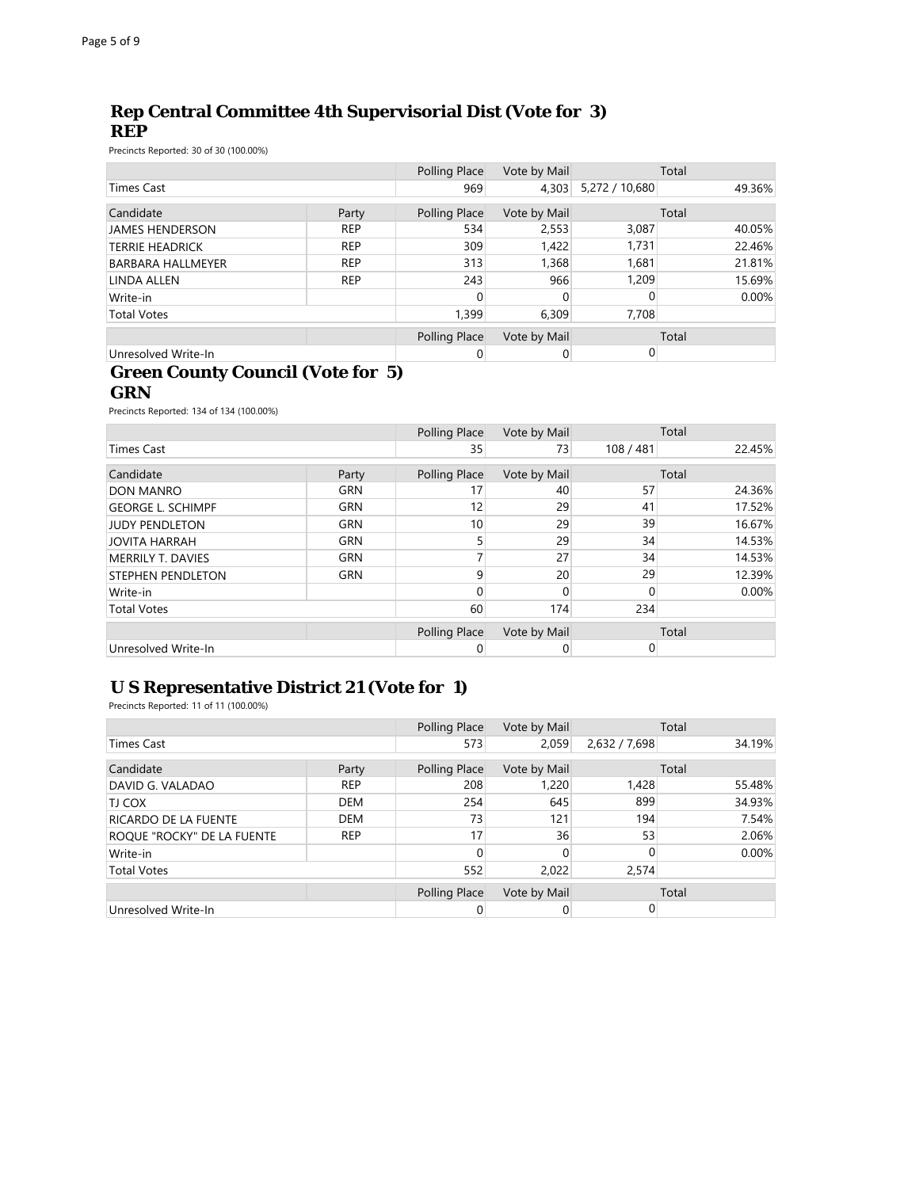## **Rep Central Committee 4th Supervisorial Dist (Vote for 3) REP**

Precincts Reported: 30 of 30 (100.00%)

|                          |            | Polling Place | Vote by Mail |                | Total  |
|--------------------------|------------|---------------|--------------|----------------|--------|
| Times Cast               |            | 969           | 4,303        | 5,272 / 10,680 | 49.36% |
| Candidate                | Party      | Polling Place | Vote by Mail |                | Total  |
| <b>JAMES HENDERSON</b>   | <b>REP</b> | 534           | 2,553        | 3,087          | 40.05% |
| <b>TERRIE HEADRICK</b>   | <b>REP</b> | 309           | 1,422        | 1.731          | 22.46% |
| <b>BARBARA HALLMEYER</b> | <b>REP</b> | 313           | 1,368        | 1,681          | 21.81% |
| LINDA ALLEN              | <b>REP</b> | 243           | 966          | 1,209          | 15.69% |
| Write-in                 |            | 0             |              | 0              | 0.00%  |
| <b>Total Votes</b>       |            | 1,399         | 6,309        | 7,708          |        |
|                          |            | Polling Place | Vote by Mail |                | Total  |
| Unresolved Write-In      |            |               |              |                |        |

#### **Green County Council (Vote for 5) GRN**

Precincts Reported: 134 of 134 (100.00%)

|                          |            | Polling Place | Vote by Mail    |           | Total    |
|--------------------------|------------|---------------|-----------------|-----------|----------|
| <b>Times Cast</b>        |            | 35            | 73              | 108 / 481 | 22.45%   |
| Candidate                | Party      | Polling Place | Vote by Mail    |           | Total    |
| <b>DON MANRO</b>         | <b>GRN</b> | 17            | 40              | 57        | 24.36%   |
| <b>GEORGE L. SCHIMPF</b> | <b>GRN</b> | 12            | 29              | 41        | 17.52%   |
| JUDY PENDLETON           | <b>GRN</b> | 10            | 29              | 39        | 16.67%   |
| <b>JOVITA HARRAH</b>     | <b>GRN</b> |               | 29              | 34        | 14.53%   |
| <b>MERRILY T. DAVIES</b> | <b>GRN</b> |               | 27              | 34        | 14.53%   |
| <b>STEPHEN PENDLETON</b> | <b>GRN</b> | q             | 20 <sup>°</sup> | 29        | 12.39%   |
| Write-in                 |            |               |                 | $\Omega$  | $0.00\%$ |
| <b>Total Votes</b>       |            | 60            | 174             | 234       |          |
|                          |            | Polling Place | Vote by Mail    |           | Total    |
| Unresolved Write-In      |            |               |                 | 0         |          |

## **U S Representative District 21 (Vote for 1)**

Precincts Reported: 11 of 11 (100.00%)

|                             |            | Polling Place | Vote by Mail |               | Total  |
|-----------------------------|------------|---------------|--------------|---------------|--------|
| Times Cast                  |            | 573           | 2,059        | 2,632 / 7,698 | 34.19% |
| Candidate                   | Party      | Polling Place | Vote by Mail |               | Total  |
| DAVID G. VALADAO            | <b>REP</b> | 208           | 1,220        | 1,428         | 55.48% |
| <b>TJ COX</b>               | <b>DEM</b> | 254           | 645          | 899           | 34.93% |
| <b>RICARDO DE LA FUENTE</b> | <b>DEM</b> | 73            | 121          | 194           | 7.54%  |
| ROQUE "ROCKY" DE LA FUENTE  | <b>REP</b> | 17            | 36           | 53            | 2.06%  |
| Write-in                    |            | 0             |              |               | 0.00%  |
| <b>Total Votes</b>          |            | 552           | 2,022        | 2,574         |        |
|                             |            | Polling Place | Vote by Mail |               | Total  |
| Unresolved Write-In         |            | 0             |              |               |        |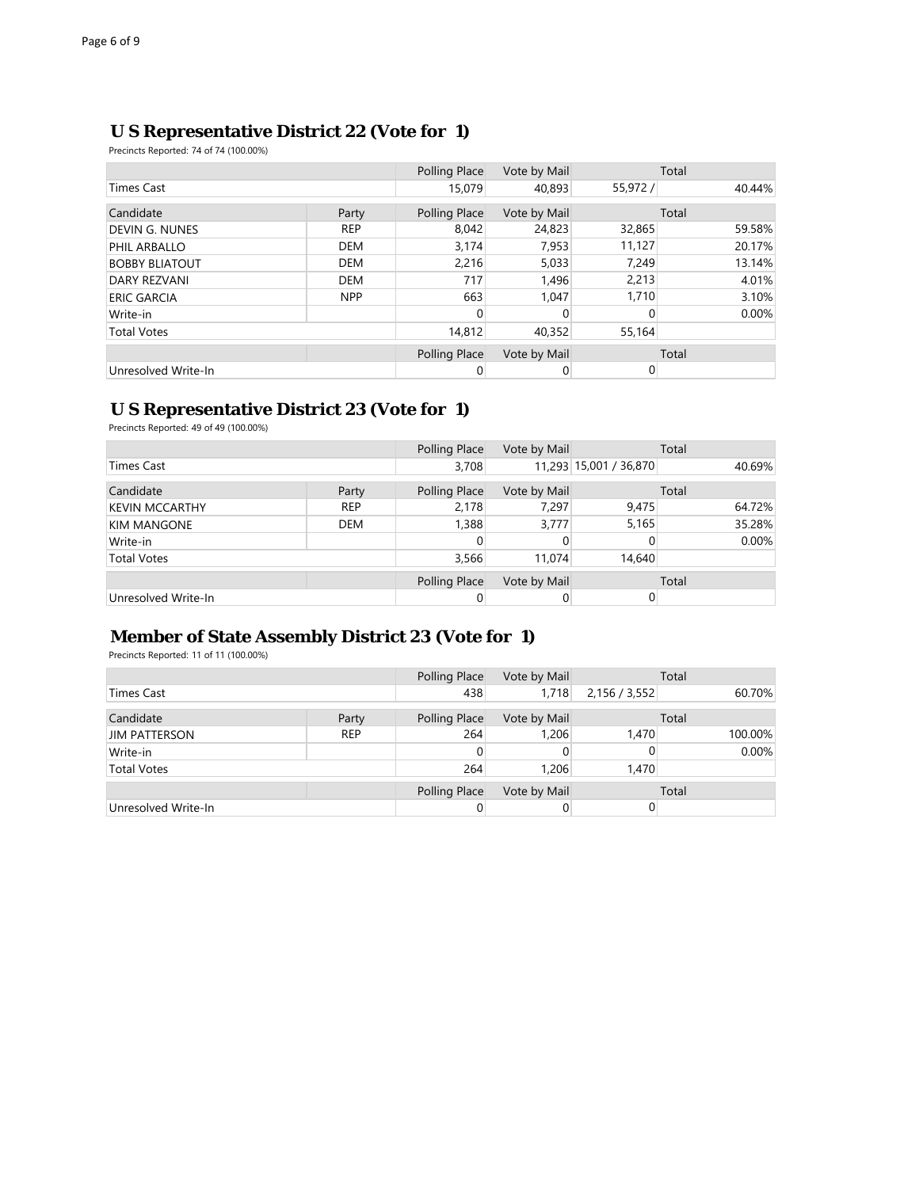#### **U S Representative District 22 (Vote for 1)**

Precincts Reported: 74 of 74 (100.00%)

|                       |            | Polling Place | Vote by Mail |          | Total    |
|-----------------------|------------|---------------|--------------|----------|----------|
| Times Cast            |            | 15,079        | 40,893       | 55,972 / | 40.44%   |
| Candidate             | Party      | Polling Place | Vote by Mail |          | Total    |
| <b>DEVIN G. NUNES</b> | <b>REP</b> | 8,042         | 24,823       | 32,865   | 59.58%   |
| PHIL ARBALLO          | <b>DEM</b> | 3,174         | 7,953        | 11,127   | 20.17%   |
| <b>BOBBY BLIATOUT</b> | <b>DEM</b> | 2,216         | 5,033        | 7,249    | 13.14%   |
| <b>DARY REZVANI</b>   | <b>DEM</b> | 717           | 1,496        | 2,213    | 4.01%    |
| <b>ERIC GARCIA</b>    | <b>NPP</b> | 663           | 1.047        | 1,710    | 3.10%    |
| Write-in              |            |               |              | 0        | $0.00\%$ |
| <b>Total Votes</b>    |            | 14,812        | 40,352       | 55,164   |          |
|                       |            | Polling Place | Vote by Mail |          | Total    |
| Unresolved Write-In   |            | 0             | 0            | 0        |          |

#### **U S Representative District 23 (Vote for 1)**

Precincts Reported: 49 of 49 (100.00%)

|                       |            | Polling Place | Vote by Mail |                        | Total  |
|-----------------------|------------|---------------|--------------|------------------------|--------|
| Times Cast            |            | 3,708         |              | 11,293 15,001 / 36,870 | 40.69% |
| Candidate             | Party      | Polling Place | Vote by Mail |                        | Total  |
| <b>KEVIN MCCARTHY</b> | <b>REP</b> | 2.178         | 7,297        | 9.475                  | 64.72% |
| <b>KIM MANGONE</b>    | <b>DEM</b> | 1,388         | 3,777        | 5,165                  | 35.28% |
| Write-in              |            |               |              |                        | 0.00%  |
| <b>Total Votes</b>    |            | 3,566         | 11.074       | 14,640                 |        |
|                       |            | Polling Place | Vote by Mail |                        | Total  |
| Unresolved Write-In   |            |               |              |                        |        |

## **Member of State Assembly District 23 (Vote for 1)**

Precincts Reported: 11 of 11 (100.00%)

|                      |            | Polling Place | Vote by Mail |               | Total    |
|----------------------|------------|---------------|--------------|---------------|----------|
| <b>Times Cast</b>    |            | 438           | 1,718        | 2,156 / 3,552 | 60.70%   |
| Candidate            | Party      | Polling Place | Vote by Mail |               | Total    |
| <b>JIM PATTERSON</b> | <b>REP</b> | 264           | 1,206        | 1,470         | 100.00%  |
| Write-in             |            |               |              |               | $0.00\%$ |
| <b>Total Votes</b>   |            | 264           | 1,206        | 1.470         |          |
|                      |            | Polling Place | Vote by Mail |               | Total    |
| Unresolved Write-In  |            |               |              |               |          |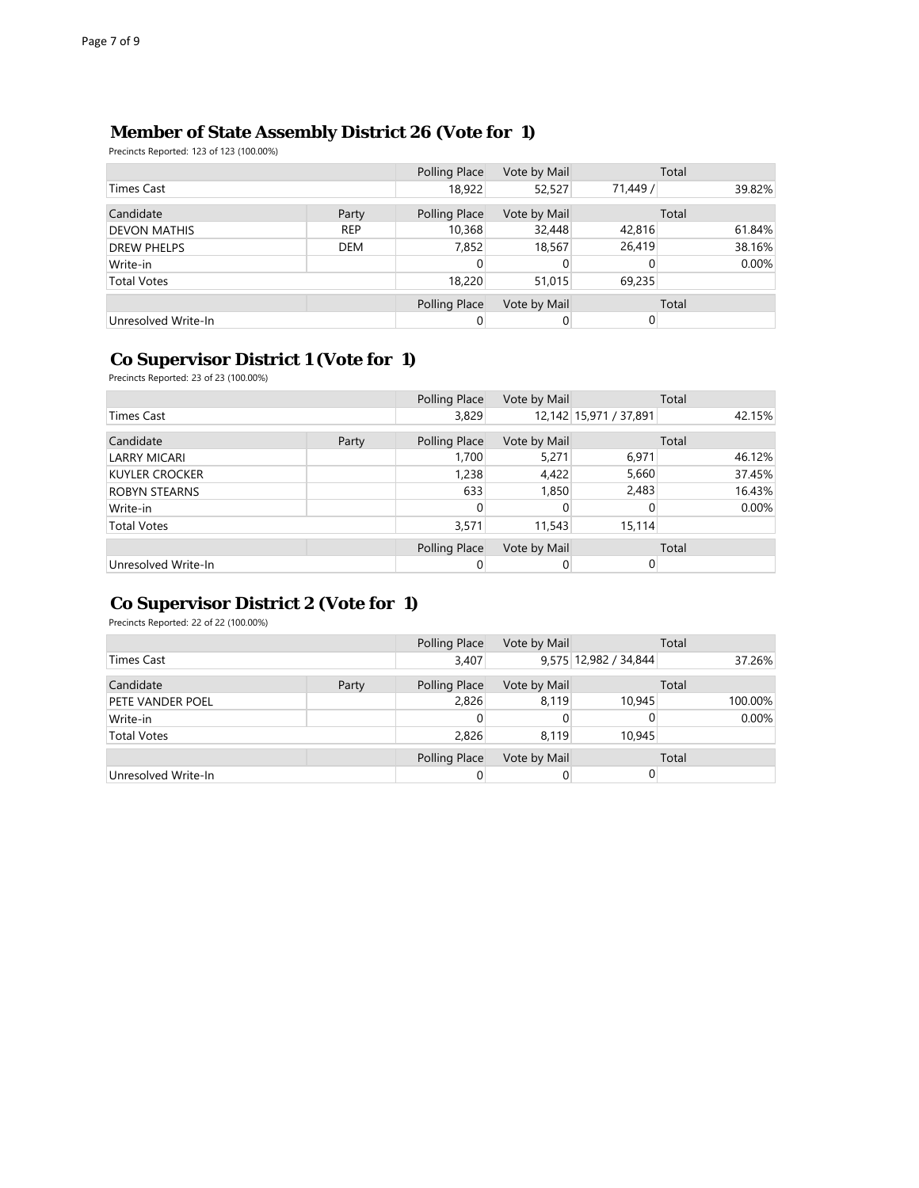## **Member of State Assembly District 26 (Vote for 1)**

Precincts Reported: 123 of 123 (100.00%)

|                     |            | Polling Place | Vote by Mail |          | Total  |
|---------------------|------------|---------------|--------------|----------|--------|
| Times Cast          |            | 18,922        | 52,527       | 71,449 / | 39.82% |
| Candidate           | Party      | Polling Place | Vote by Mail |          | Total  |
| <b>DEVON MATHIS</b> | <b>REP</b> | 10,368        | 32,448       | 42,816   | 61.84% |
| <b>DREW PHELPS</b>  | <b>DEM</b> | 7,852         | 18,567       | 26,419   | 38.16% |
| Write-in            |            |               |              |          | 0.00%  |
| <b>Total Votes</b>  |            | 18,220        | 51,015       | 69,235   |        |
|                     |            | Polling Place | Vote by Mail |          | Total  |
| Unresolved Write-In |            |               |              |          |        |

## **Co Supervisor District 1 (Vote for 1)**

Precincts Reported: 23 of 23 (100.00%)

|                       |       | Polling Place | Vote by Mail |                        | Total  |
|-----------------------|-------|---------------|--------------|------------------------|--------|
| Times Cast            |       | 3,829         |              | 12,142 15,971 / 37,891 | 42.15% |
| Candidate             | Party | Polling Place | Vote by Mail |                        | Total  |
| <b>LARRY MICARI</b>   |       | 1,700         | 5,271        | 6,971                  | 46.12% |
| <b>KUYLER CROCKER</b> |       | 1,238         | 4,422        | 5,660                  | 37.45% |
| <b>ROBYN STEARNS</b>  |       | 633           | 1,850        | 2,483                  | 16.43% |
| Write-in              |       |               |              |                        | 0.00%  |
| <b>Total Votes</b>    |       | 3,571         | 11,543       | 15,114                 |        |
|                       |       | Polling Place | Vote by Mail |                        | Total  |
| Unresolved Write-In   |       |               |              |                        |        |

## **Co Supervisor District 2 (Vote for 1)**

Precincts Reported: 22 of 22 (100.00%)

|                     |       | Polling Place | Vote by Mail |                       | Total    |
|---------------------|-------|---------------|--------------|-----------------------|----------|
| Times Cast          |       | 3,407         |              | 9,575 12,982 / 34,844 | 37.26%   |
| Candidate           | Party | Polling Place | Vote by Mail |                       | Total    |
| PETE VANDER POEL    |       | 2,826         | 8,119        | 10.945                | 100.00%  |
| Write-in            |       |               |              |                       | $0.00\%$ |
| <b>Total Votes</b>  |       | 2,826         | 8.119        | 10.945                |          |
|                     |       | Polling Place | Vote by Mail |                       | Total    |
| Unresolved Write-In |       |               |              |                       |          |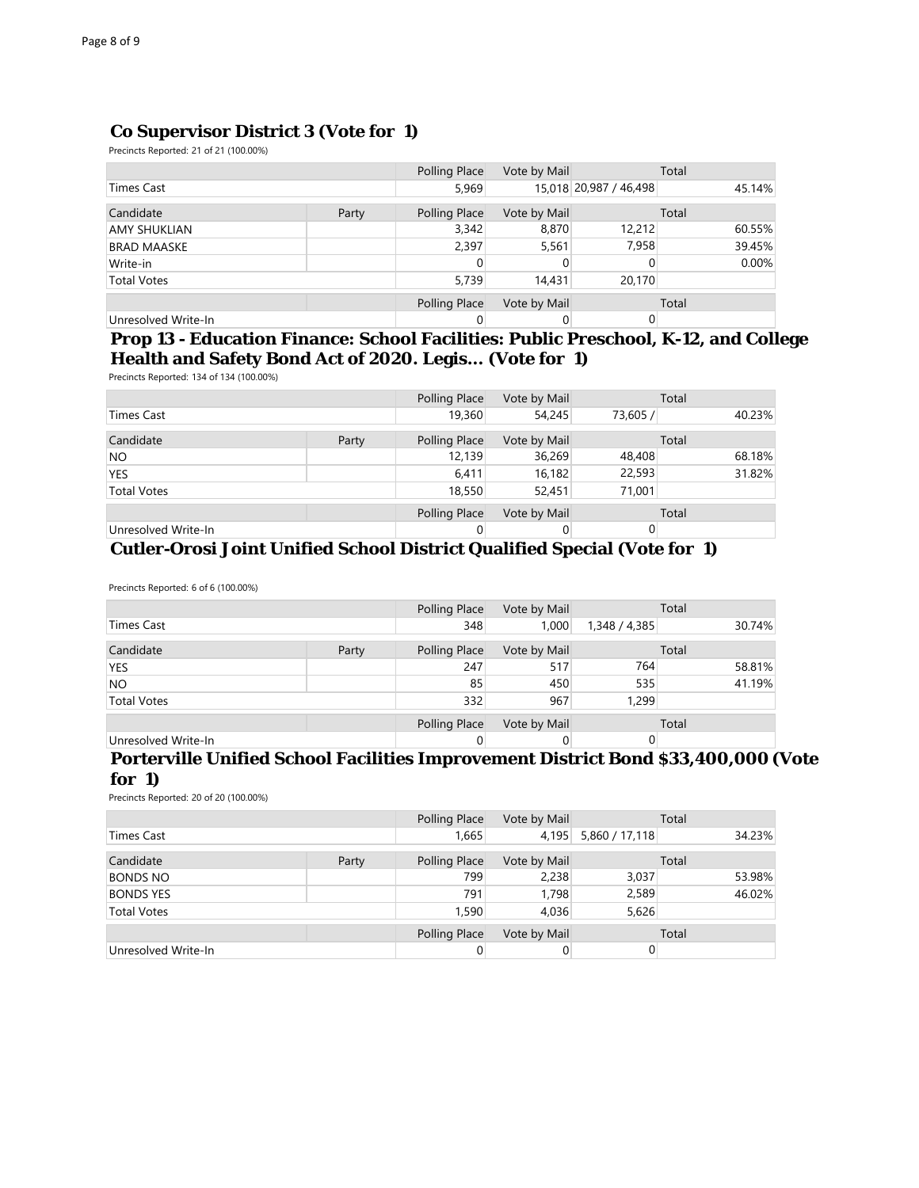## **Co Supervisor District 3 (Vote for 1)**

Precincts Reported: 21 of 21 (100.00%)

|                     |       | Polling Place | Vote by Mail |                        | Total    |
|---------------------|-------|---------------|--------------|------------------------|----------|
| Times Cast          |       | 5,969         |              | 15,018 20,987 / 46,498 | 45.14%   |
| Candidate           | Party | Polling Place | Vote by Mail |                        | Total    |
| AMY SHUKLIAN        |       | 3,342         | 8,870        | 12,212                 | 60.55%   |
| <b>BRAD MAASKE</b>  |       | 2,397         | 5,561        | 7,958                  | 39.45%   |
| Write-in            |       |               |              |                        | $0.00\%$ |
| <b>Total Votes</b>  |       | 5,739         | 14,431       | 20,170                 |          |
|                     |       | Polling Place | Vote by Mail |                        | Total    |
| Unresolved Write-In |       |               |              |                        |          |

#### **Prop 13 - Education Finance: School Facilities: Public Preschool, K-12, and College Health and Safety Bond Act of 2020. Legis... (Vote for 1)**

Precincts Reported: 134 of 134 (100.00%)

|                     |       | Polling Place | Vote by Mail |          | Total  |
|---------------------|-------|---------------|--------------|----------|--------|
| <b>Times Cast</b>   |       | 19,360        | 54,245       | 73,605 / | 40.23% |
| Candidate           | Party | Polling Place | Vote by Mail |          | Total  |
| <b>NO</b>           |       | 12,139        | 36,269       | 48,408   | 68.18% |
| <b>YES</b>          |       | 6,411         | 16,182       | 22,593   | 31.82% |
| <b>Total Votes</b>  |       | 18,550        | 52,451       | 71,001   |        |
|                     |       | Polling Place | Vote by Mail |          | Total  |
| Unresolved Write-In |       |               |              |          |        |

#### **Cutler-Orosi Joint Unified School District Qualified Special (Vote for 1)**

Precincts Reported: 6 of 6 (100.00%)

|                     |       | Polling Place | Vote by Mail |               | Total  |
|---------------------|-------|---------------|--------------|---------------|--------|
| <b>Times Cast</b>   |       | 348           | 1,000        | 1,348 / 4,385 | 30.74% |
| Candidate           | Party | Polling Place | Vote by Mail |               | Total  |
| <b>YES</b>          |       | 247           | 517          | 764           | 58.81% |
| <b>NO</b>           |       | 85            | 450          | 535           | 41.19% |
| <b>Total Votes</b>  |       | 332           | 967          | 1,299         |        |
|                     |       | Polling Place | Vote by Mail |               | Total  |
| Unresolved Write-In |       |               |              |               |        |

#### **Porterville Unified School Facilities Improvement District Bond \$33,400,000 (Vote for 1)**

Precincts Reported: 20 of 20 (100.00%)

|                     |       |               | Vote by Mail |                | Total  |
|---------------------|-------|---------------|--------------|----------------|--------|
| <b>Times Cast</b>   |       | 1,665         | 4,195        | 5,860 / 17,118 | 34.23% |
| Candidate           | Party | Polling Place | Vote by Mail |                | Total  |
| <b>BONDS NO</b>     |       | 799           | 2,238        | 3,037          | 53.98% |
| <b>BONDS YES</b>    |       | 791           | 1.798        | 2,589          | 46.02% |
| <b>Total Votes</b>  |       | 1,590         | 4,036        | 5,626          |        |
|                     |       | Polling Place | Vote by Mail |                | Total  |
| Unresolved Write-In |       |               |              |                |        |